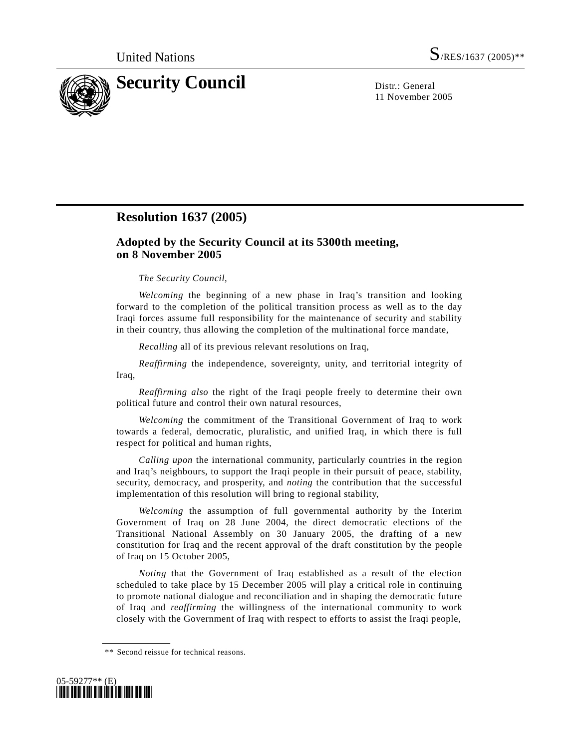

11 November 2005

# **Resolution 1637 (2005)**

## **Adopted by the Security Council at its 5300th meeting, on 8 November 2005**

#### *The Security Council*,

*Welcoming* the beginning of a new phase in Iraq's transition and looking forward to the completion of the political transition process as well as to the day Iraqi forces assume full responsibility for the maintenance of security and stability in their country, thus allowing the completion of the multinational force mandate,

*Recalling* all of its previous relevant resolutions on Iraq,

*Reaffirming* the independence, sovereignty, unity, and territorial integrity of Iraq,

*Reaffirming also* the right of the Iraqi people freely to determine their own political future and control their own natural resources,

*Welcoming* the commitment of the Transitional Government of Iraq to work towards a federal, democratic, pluralistic, and unified Iraq, in which there is full respect for political and human rights,

*Calling upon* the international community, particularly countries in the region and Iraq's neighbours, to support the Iraqi people in their pursuit of peace, stability, security, democracy, and prosperity, and *noting* the contribution that the successful implementation of this resolution will bring to regional stability,

*Welcoming* the assumption of full governmental authority by the Interim Government of Iraq on 28 June 2004, the direct democratic elections of the Transitional National Assembly on 30 January 2005, the drafting of a new constitution for Iraq and the recent approval of the draft constitution by the people of Iraq on 15 October 2005,

*Noting* that the Government of Iraq established as a result of the election scheduled to take place by 15 December 2005 will play a critical role in continuing to promote national dialogue and reconciliation and in shaping the democratic future of Iraq and *reaffirming* the willingness of the international community to work closely with the Government of Iraq with respect to efforts to assist the Iraqi people,

 <sup>\*\*</sup> Second reissue for technical reasons.

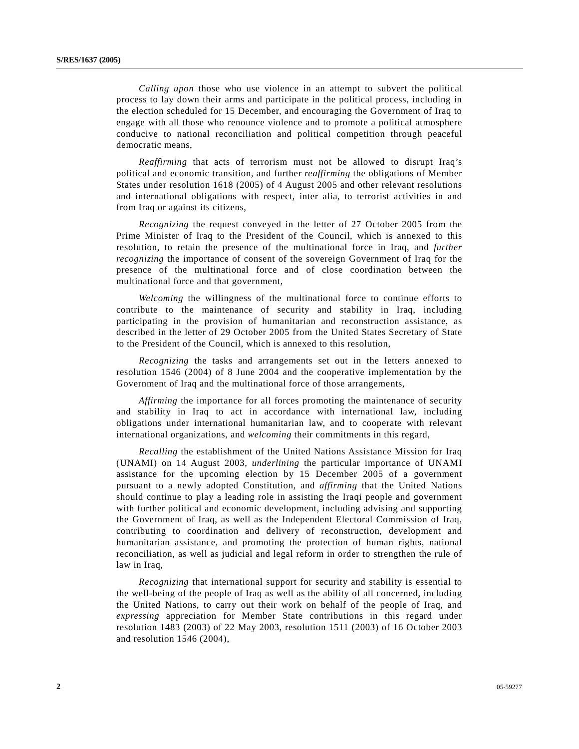*Calling upon* those who use violence in an attempt to subvert the political process to lay down their arms and participate in the political process, including in the election scheduled for 15 December, and encouraging the Government of Iraq to engage with all those who renounce violence and to promote a political atmosphere conducive to national reconciliation and political competition through peaceful democratic means,

*Reaffirming* that acts of terrorism must not be allowed to disrupt Iraq's political and economic transition, and further *reaffirming* the obligations of Member States under resolution 1618 (2005) of 4 August 2005 and other relevant resolutions and international obligations with respect, inter alia, to terrorist activities in and from Iraq or against its citizens,

*Recognizing* the request conveyed in the letter of 27 October 2005 from the Prime Minister of Iraq to the President of the Council, which is annexed to this resolution, to retain the presence of the multinational force in Iraq, and *further recognizing* the importance of consent of the sovereign Government of Iraq for the presence of the multinational force and of close coordination between the multinational force and that government,

*Welcoming* the willingness of the multinational force to continue efforts to contribute to the maintenance of security and stability in Iraq, including participating in the provision of humanitarian and reconstruction assistance, as described in the letter of 29 October 2005 from the United States Secretary of State to the President of the Council, which is annexed to this resolution,

*Recognizing* the tasks and arrangements set out in the letters annexed to resolution 1546 (2004) of 8 June 2004 and the cooperative implementation by the Government of Iraq and the multinational force of those arrangements,

*Affirming* the importance for all forces promoting the maintenance of security and stability in Iraq to act in accordance with international law, including obligations under international humanitarian law, and to cooperate with relevant international organizations, and *welcoming* their commitments in this regard,

*Recalling* the establishment of the United Nations Assistance Mission for Iraq (UNAMI) on 14 August 2003, *underlining* the particular importance of UNAMI assistance for the upcoming election by 15 December 2005 of a government pursuant to a newly adopted Constitution, and *affirming* that the United Nations should continue to play a leading role in assisting the Iraqi people and government with further political and economic development, including advising and supporting the Government of Iraq, as well as the Independent Electoral Commission of Iraq, contributing to coordination and delivery of reconstruction, development and humanitarian assistance, and promoting the protection of human rights, national reconciliation, as well as judicial and legal reform in order to strengthen the rule of law in Iraq,

*Recognizing* that international support for security and stability is essential to the well-being of the people of Iraq as well as the ability of all concerned, including the United Nations, to carry out their work on behalf of the people of Iraq, and *expressing* appreciation for Member State contributions in this regard under resolution 1483 (2003) of 22 May 2003, resolution 1511 (2003) of 16 October 2003 and resolution 1546 (2004),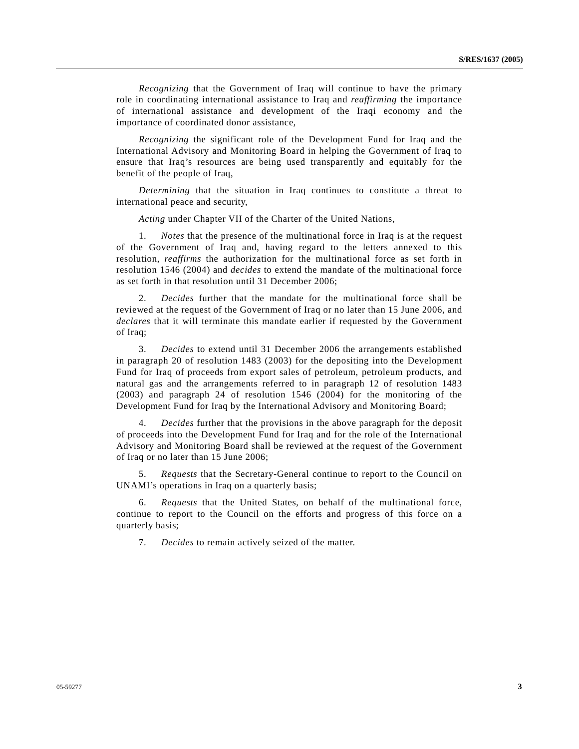*Recognizing* that the Government of Iraq will continue to have the primary role in coordinating international assistance to Iraq and *reaffirming* the importance of international assistance and development of the Iraqi economy and the importance of coordinated donor assistance,

*Recognizing* the significant role of the Development Fund for Iraq and the International Advisory and Monitoring Board in helping the Government of Iraq to ensure that Iraq's resources are being used transparently and equitably for the benefit of the people of Iraq,

*Determining* that the situation in Iraq continues to constitute a threat to international peace and security,

*Acting* under Chapter VII of the Charter of the United Nations,

 1. *Notes* that the presence of the multinational force in Iraq is at the request of the Government of Iraq and, having regard to the letters annexed to this resolution, *reaffirms* the authorization for the multinational force as set forth in resolution 1546 (2004) and *decides* to extend the mandate of the multinational force as set forth in that resolution until 31 December 2006;

 2. *Decides* further that the mandate for the multinational force shall be reviewed at the request of the Government of Iraq or no later than 15 June 2006, and *declares* that it will terminate this mandate earlier if requested by the Government of Iraq;

 3. *Decides* to extend until 31 December 2006 the arrangements established in paragraph 20 of resolution 1483 (2003) for the depositing into the Development Fund for Iraq of proceeds from export sales of petroleum, petroleum products, and natural gas and the arrangements referred to in paragraph 12 of resolution 1483 (2003) and paragraph 24 of resolution 1546 (2004) for the monitoring of the Development Fund for Iraq by the International Advisory and Monitoring Board;

 4. *Decides* further that the provisions in the above paragraph for the deposit of proceeds into the Development Fund for Iraq and for the role of the International Advisory and Monitoring Board shall be reviewed at the request of the Government of Iraq or no later than 15 June 2006;

 5. *Requests* that the Secretary-General continue to report to the Council on UNAMI's operations in Iraq on a quarterly basis;

 6. *Requests* that the United States, on behalf of the multinational force, continue to report to the Council on the efforts and progress of this force on a quarterly basis;

7. *Decides* to remain actively seized of the matter.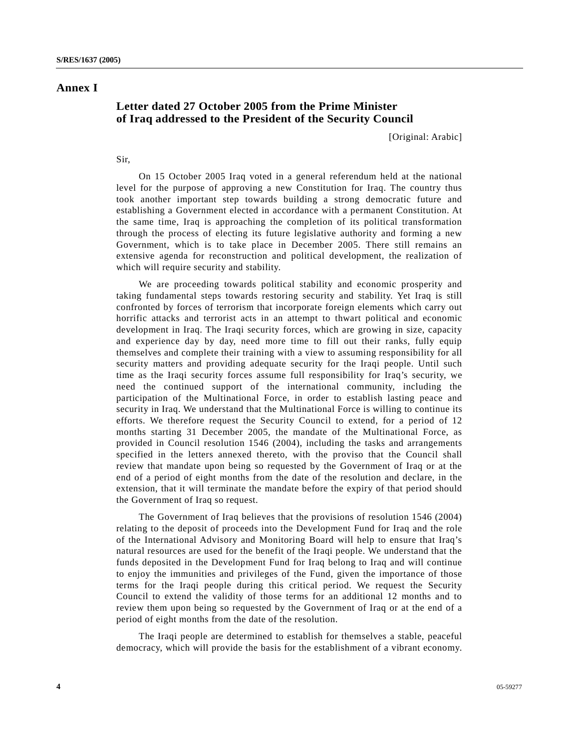#### **Annex I**

## **Letter dated 27 October 2005 from the Prime Minister of Iraq addressed to the President of the Security Council**

[Original: Arabic]

#### Sir,

 On 15 October 2005 Iraq voted in a general referendum held at the national level for the purpose of approving a new Constitution for Iraq. The country thus took another important step towards building a strong democratic future and establishing a Government elected in accordance with a permanent Constitution. At the same time, Iraq is approaching the completion of its political transformation through the process of electing its future legislative authority and forming a new Government, which is to take place in December 2005. There still remains an extensive agenda for reconstruction and political development, the realization of which will require security and stability.

 We are proceeding towards political stability and economic prosperity and taking fundamental steps towards restoring security and stability. Yet Iraq is still confronted by forces of terrorism that incorporate foreign elements which carry out horrific attacks and terrorist acts in an attempt to thwart political and economic development in Iraq. The Iraqi security forces, which are growing in size, capacity and experience day by day, need more time to fill out their ranks, fully equip themselves and complete their training with a view to assuming responsibility for all security matters and providing adequate security for the Iraqi people. Until such time as the Iraqi security forces assume full responsibility for Iraq's security, we need the continued support of the international community, including the participation of the Multinational Force, in order to establish lasting peace and security in Iraq. We understand that the Multinational Force is willing to continue its efforts. We therefore request the Security Council to extend, for a period of 12 months starting 31 December 2005, the mandate of the Multinational Force, as provided in Council resolution 1546 (2004), including the tasks and arrangements specified in the letters annexed thereto, with the proviso that the Council shall review that mandate upon being so requested by the Government of Iraq or at the end of a period of eight months from the date of the resolution and declare, in the extension, that it will terminate the mandate before the expiry of that period should the Government of Iraq so request.

 The Government of Iraq believes that the provisions of resolution 1546 (2004) relating to the deposit of proceeds into the Development Fund for Iraq and the role of the International Advisory and Monitoring Board will help to ensure that Iraq's natural resources are used for the benefit of the Iraqi people. We understand that the funds deposited in the Development Fund for Iraq belong to Iraq and will continue to enjoy the immunities and privileges of the Fund, given the importance of those terms for the Iraqi people during this critical period. We request the Security Council to extend the validity of those terms for an additional 12 months and to review them upon being so requested by the Government of Iraq or at the end of a period of eight months from the date of the resolution.

 The Iraqi people are determined to establish for themselves a stable, peaceful democracy, which will provide the basis for the establishment of a vibrant economy.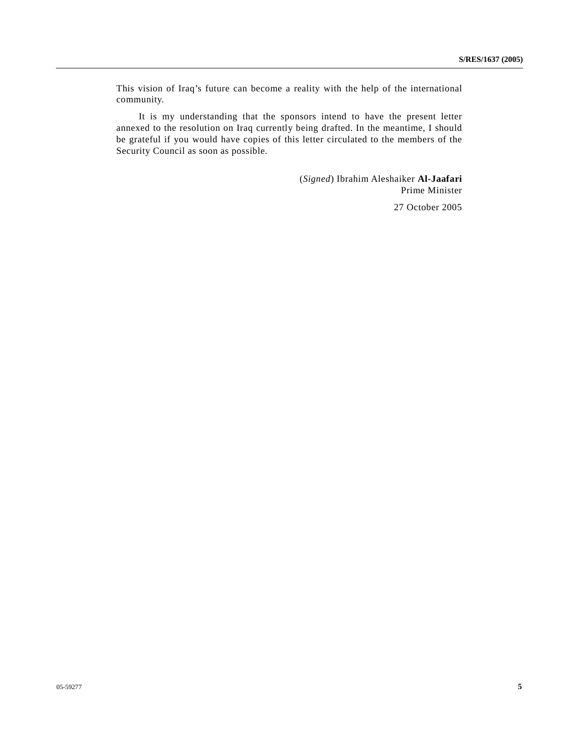This vision of Iraq's future can become a reality with the help of the international community.

 It is my understanding that the sponsors intend to have the present letter annexed to the resolution on Iraq currently being drafted. In the meantime, I should be grateful if you would have copies of this letter circulated to the members of the Security Council as soon as possible.

> (*Signed*) Ibrahim Aleshaiker **Al-Jaafari**  Prime Minister

> > 27 October 2005